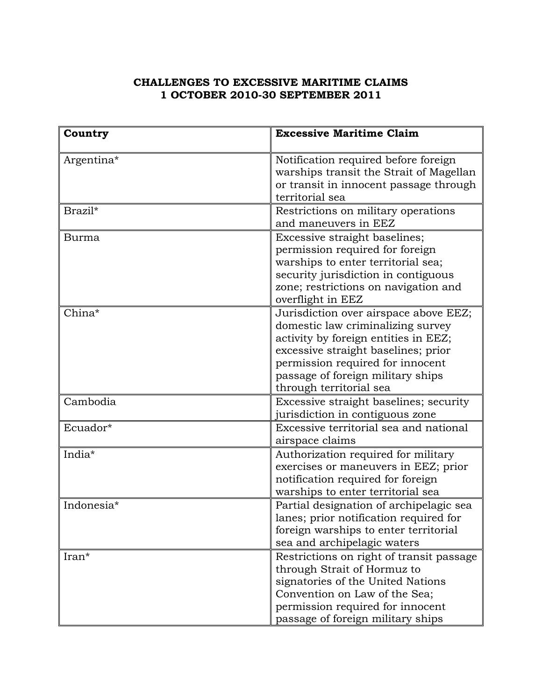## **CHALLENGES TO EXCESSIVE MARITIME CLAIMS 1 OCTOBER 2010-30 SEPTEMBER 2011**

| Country    | <b>Excessive Maritime Claim</b>                                                                                                                                                                                                                               |
|------------|---------------------------------------------------------------------------------------------------------------------------------------------------------------------------------------------------------------------------------------------------------------|
| Argentina* | Notification required before foreign<br>warships transit the Strait of Magellan<br>or transit in innocent passage through<br>territorial sea                                                                                                                  |
| Brazil*    | Restrictions on military operations<br>and maneuvers in EEZ                                                                                                                                                                                                   |
| Burma      | Excessive straight baselines;<br>permission required for foreign<br>warships to enter territorial sea;<br>security jurisdiction in contiguous<br>zone; restrictions on navigation and<br>overflight in EEZ                                                    |
| China*     | Jurisdiction over airspace above EEZ;<br>domestic law criminalizing survey<br>activity by foreign entities in EEZ;<br>excessive straight baselines; prior<br>permission required for innocent<br>passage of foreign military ships<br>through territorial sea |
| Cambodia   | Excessive straight baselines; security<br>jurisdiction in contiguous zone                                                                                                                                                                                     |
| Ecuador*   | Excessive territorial sea and national<br>airspace claims                                                                                                                                                                                                     |
| India*     | Authorization required for military<br>exercises or maneuvers in EEZ; prior<br>notification required for foreign<br>warships to enter territorial sea                                                                                                         |
| Indonesia* | Partial designation of archipelagic sea<br>lanes; prior notification required for<br>foreign warships to enter territorial<br>sea and archipelagic waters                                                                                                     |
| Iran*      | Restrictions on right of transit passage<br>through Strait of Hormuz to<br>signatories of the United Nations<br>Convention on Law of the Sea;<br>permission required for innocent<br>passage of foreign military ships                                        |